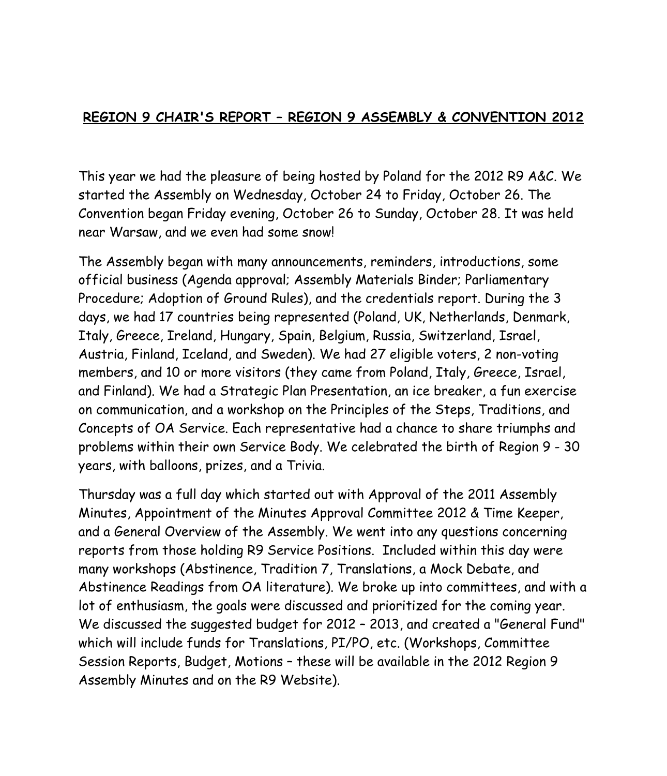## **REGION 9 CHAIR'S REPORT – REGION 9 ASSEMBLY & CONVENTION 2012**

This year we had the pleasure of being hosted by Poland for the 2012 R9 A&C. We started the Assembly on Wednesday, October 24 to Friday, October 26. The Convention began Friday evening, October 26 to Sunday, October 28. It was held near Warsaw, and we even had some snow!

The Assembly began with many announcements, reminders, introductions, some official business (Agenda approval; Assembly Materials Binder; Parliamentary Procedure; Adoption of Ground Rules), and the credentials report. During the 3 days, we had 17 countries being represented (Poland, UK, Netherlands, Denmark, Italy, Greece, Ireland, Hungary, Spain, Belgium, Russia, Switzerland, Israel, Austria, Finland, Iceland, and Sweden). We had 27 eligible voters, 2 non-voting members, and 10 or more visitors (they came from Poland, Italy, Greece, Israel, and Finland). We had a Strategic Plan Presentation, an ice breaker, a fun exercise on communication, and a workshop on the Principles of the Steps, Traditions, and Concepts of OA Service. Each representative had a chance to share triumphs and problems within their own Service Body. We celebrated the birth of Region 9 - 30 years, with balloons, prizes, and a Trivia.

Thursday was a full day which started out with Approval of the 2011 Assembly Minutes, Appointment of the Minutes Approval Committee 2012 & Time Keeper, and a General Overview of the Assembly. We went into any questions concerning reports from those holding R9 Service Positions. Included within this day were many workshops (Abstinence, Tradition 7, Translations, a Mock Debate, and Abstinence Readings from OA literature). We broke up into committees, and with a lot of enthusiasm, the goals were discussed and prioritized for the coming year. We discussed the suggested budget for 2012 – 2013, and created a "General Fund" which will include funds for Translations, PI/PO, etc. (Workshops, Committee Session Reports, Budget, Motions – these will be available in the 2012 Region 9 Assembly Minutes and on the R9 Website).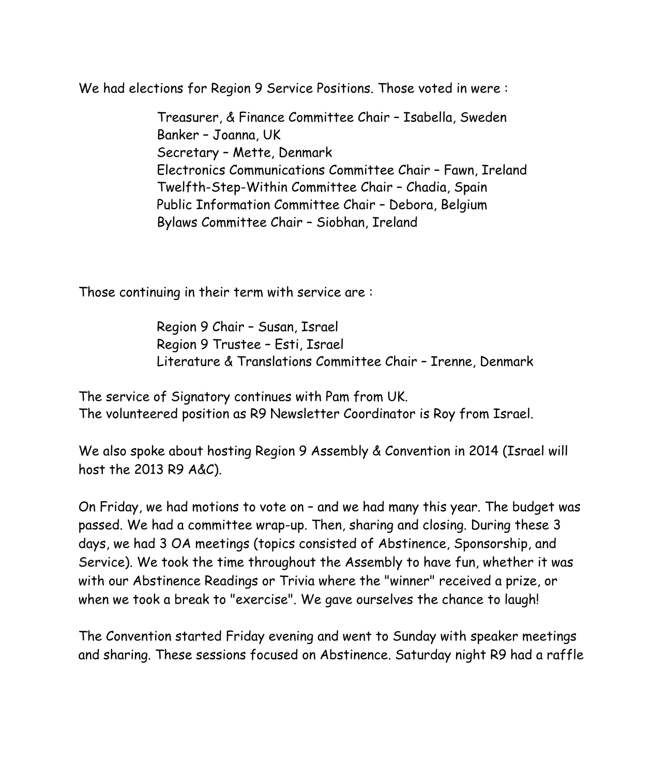We had elections for Region 9 Service Positions. Those voted in were :

 Treasurer, & Finance Committee Chair – Isabella, Sweden Banker – Joanna, UK Secretary – Mette, Denmark Electronics Communications Committee Chair – Fawn, Ireland Twelfth-Step-Within Committee Chair – Chadia, Spain Public Information Committee Chair – Debora, Belgium Bylaws Committee Chair – Siobhan, Ireland

Those continuing in their term with service are :

 Region 9 Chair – Susan, Israel Region 9 Trustee – Esti, Israel Literature & Translations Committee Chair – Irenne, Denmark

The service of Signatory continues with Pam from UK. The volunteered position as R9 Newsletter Coordinator is Roy from Israel.

We also spoke about hosting Region 9 Assembly & Convention in 2014 (Israel will host the 2013 R9 A&C).

On Friday, we had motions to vote on – and we had many this year. The budget was passed. We had a committee wrap-up. Then, sharing and closing. During these 3 days, we had 3 OA meetings (topics consisted of Abstinence, Sponsorship, and Service). We took the time throughout the Assembly to have fun, whether it was with our Abstinence Readings or Trivia where the "winner" received a prize, or when we took a break to "exercise". We gave ourselves the chance to laugh!

The Convention started Friday evening and went to Sunday with speaker meetings and sharing. These sessions focused on Abstinence. Saturday night R9 had a raffle